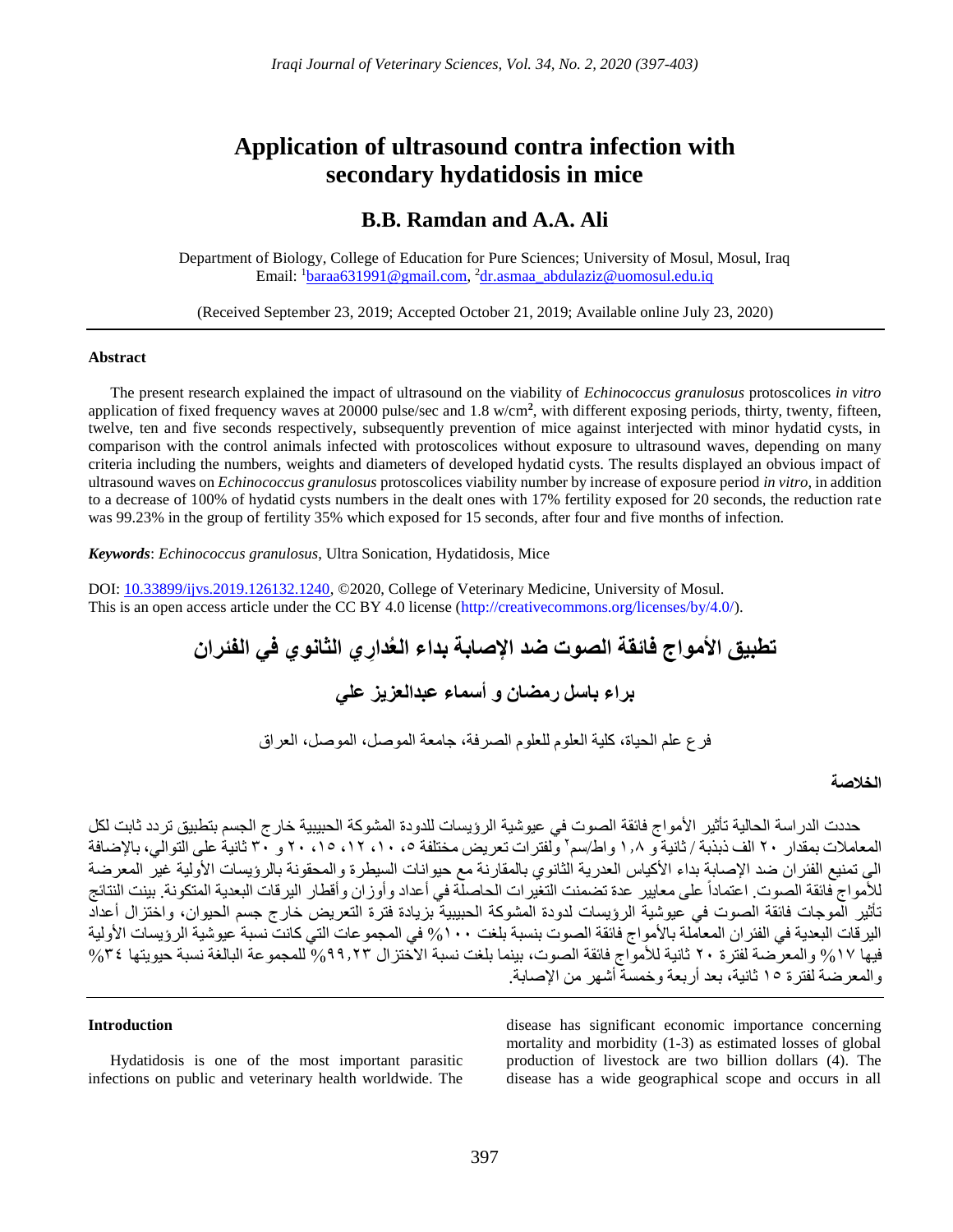# **Application of ultrasound contra infection with secondary hydatidosis in mice**

# **B.B. Ramdan and A.A. Ali**

Department of Biology, College of Education for Pure Sciences; University of Mosul, Mosul, Iraq Email: <sup>1</sup><u>[baraa631991@gmail.com,](file:///D:/C/2019-2020-العام%20الدراسي/IJVS%202020%20-%202/4/Com/baraa631991@gmail.com) <sup>2</sup>[dr.asmaa\\_abdulaziz@uomosul.edu.iq](mailto:dr.asmaa_abdulaziz@uomosul.edu.iq)</u>

(Received September 23, 2019; Accepted October 21, 2019; Available online July 23, 2020)

#### **Abstract**

The present research explained the impact of ultrasound on the viability of *Echinococcus granulosus* protoscolices *in vitro* application of fixed frequency waves at 20000 pulse/sec and 1.8 w/cm**<sup>2</sup>** , with different exposing periods, thirty, twenty, fifteen, twelve, ten and five seconds respectively, subsequently prevention of mice against interjected with minor hydatid cysts, in comparison with the control animals infected with protoscolices without exposure to ultrasound waves, depending on many criteria including the numbers, weights and diameters of developed hydatid cysts. The results displayed an obvious impact of ultrasound waves on *Echinococcus granulosus* protoscolices viability number by increase of exposure period *in vitro*, in addition to a decrease of 100% of hydatid cysts numbers in the dealt ones with 17% fertility exposed for 20 seconds, the reduction rate was 99.23% in the group of fertility 35% which exposed for 15 seconds, after four and five months of infection.

*Keywords*: *Echinococcus granulosus*, Ultra Sonication, Hydatidosis, Mice

DOI: [10.33899/ijvs.2019.126132.1240,](http://www.doi.org/10.33899/ijvs.2019.126132.1240) ©2020, College of Veterinary Medicine, University of Mosul. This is an open access article under the CC BY 4.0 license [\(http://creativecommons.org/licenses/by/4.0/\)](http://creativecommons.org/licenses/by/4.0/).

# **تطبيق األمواج فائقة الصوت ضد اإلصابة بداء العُدا الفئران ِري الثانوي في**

**براء باسل رمضان و أسماء عبدالعزيز علي**

فرع علم الحياة، كلية العلوم للعلوم الصرفة، جامعة الموصل، الموصل، العراق

# **الخالصة**

حددت الدراسة الحالية تأثير الأمواج فائقة الصوت في عيوشية الرؤيسات للدودة المشوكة الحبيبية خارج الجسم بتطبيق تردد ثابت لكل المعاملات بمقدار ٢٠ الف ذبذبة / ثانية و ١,٨ واط/سم٬ ولفترات تعريض مختلفة ٥، ١٠، ١٢، ١٥، ٢٠ و ٣٠ ثانية على التوالي، بالإضافة الى تمنيع الفئران ضد الإصابة بداء الأكياس العدرية الثانوي بالمقارنة مع حيوانات السيطرة والمحقونة بالرؤيسات الأولية غير المعرضة للأمواج فائقة الصوت. اعتماداً على معايير عدة تضمنت التغيرات الحاصلة في أعداد وأوزان وأقطار اليرقات البعدية المتكونة. بينت النتائج تأثير الموجات فائقة الصوت في عيوشية الرؤيسات لدودة المشوكة الحبيبية بزيادة فترة التعريض خارج جسم الحيوان، واختزال أعداد اليرقات البعدية في الفئران المعاملة بالأمواج فائقة الصوت بنسبة بلغت ١٠٠% في المجموعات التي كانت نسبة عيوشية الرؤيسات الأولية فيها %17 والمعرضة لفترة 20 ثانية لألمواج فائقة الصوت، بينما بلغت نسبة االختزال %99.23 للمجموعة البالغة نسبة حيويتها %34 والمعرضة لفترة 15 ثانية، بعد أربعة وخمسة أشهر من اإلصابة.

#### **Introduction**

Hydatidosis is one of the most important parasitic infections on public and veterinary health worldwide. The disease has significant economic importance concerning mortality and morbidity (1-3) as estimated losses of global production of livestock are two billion dollars (4). The disease has a wide geographical scope and occurs in all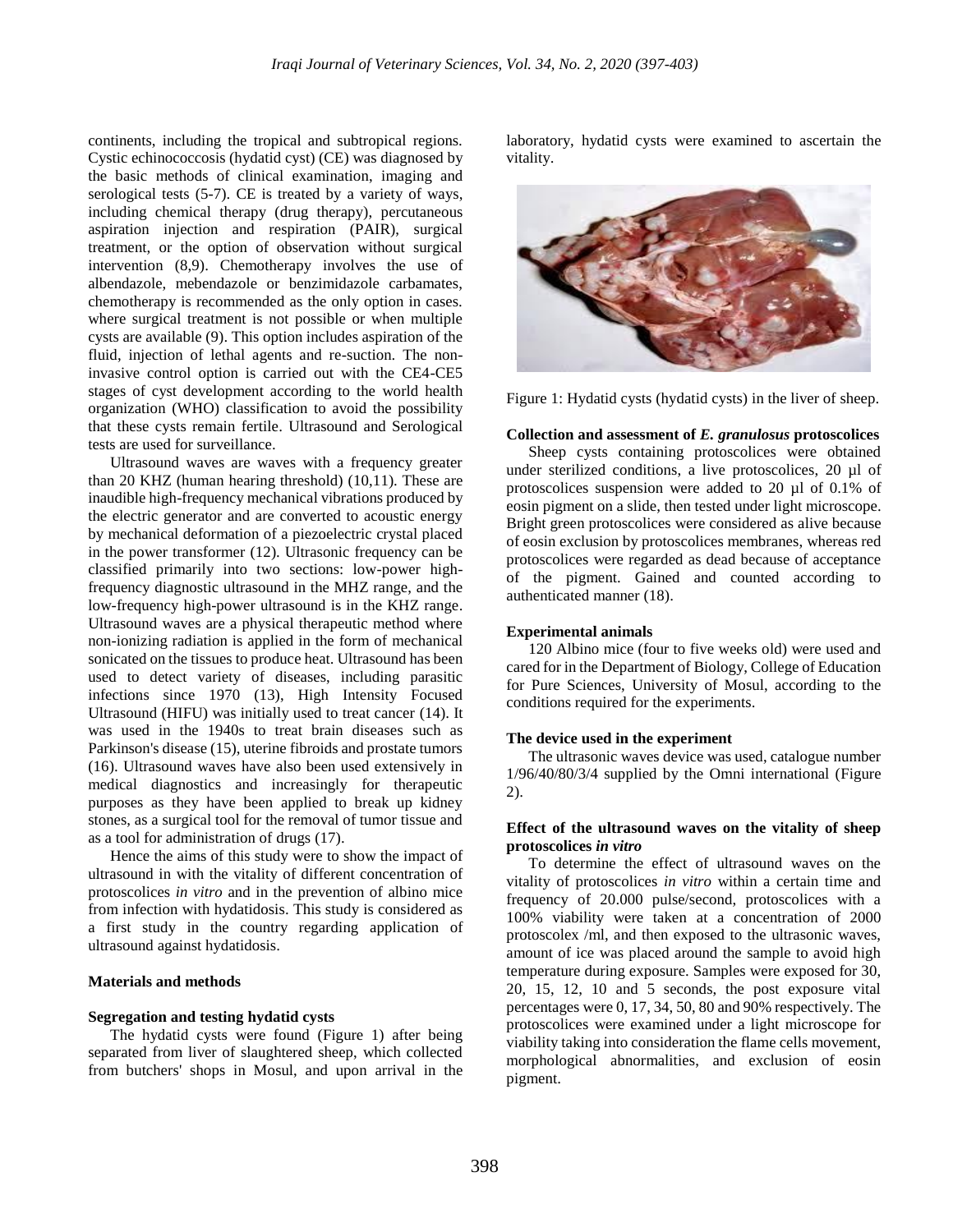continents, including the tropical and subtropical regions. Cystic echinococcosis (hydatid cyst) (CE) was diagnosed by the basic methods of clinical examination, imaging and serological tests (5-7). CE is treated by a variety of ways, including chemical therapy (drug therapy), percutaneous aspiration injection and respiration (PAIR), surgical treatment, or the option of observation without surgical intervention (8,9). Chemotherapy involves the use of albendazole, mebendazole or benzimidazole carbamates, chemotherapy is recommended as the only option in cases. where surgical treatment is not possible or when multiple cysts are available (9). This option includes aspiration of the fluid, injection of lethal agents and re-suction. The noninvasive control option is carried out with the CE4-CE5 stages of cyst development according to the world health organization (WHO) classification to avoid the possibility that these cysts remain fertile. Ultrasound and Serological tests are used for surveillance.

Ultrasound waves are waves with a frequency greater than 20 KHZ (human hearing threshold) (10,11). These are inaudible high-frequency mechanical vibrations produced by the electric generator and are converted to acoustic energy by mechanical deformation of a piezoelectric crystal placed in the power transformer (12). Ultrasonic frequency can be classified primarily into two sections: low-power highfrequency diagnostic ultrasound in the MHZ range, and the low-frequency high-power ultrasound is in the KHZ range. Ultrasound waves are a physical therapeutic method where non-ionizing radiation is applied in the form of mechanical sonicated on the tissues to produce heat. Ultrasound has been used to detect variety of diseases, including parasitic infections since 1970 (13), High Intensity Focused Ultrasound (HIFU) was initially used to treat cancer (14). It was used in the 1940s to treat brain diseases such as Parkinson's disease (15), uterine fibroids and prostate tumors (16). Ultrasound waves have also been used extensively in medical diagnostics and increasingly for therapeutic purposes as they have been applied to break up kidney stones, as a surgical tool for the removal of tumor tissue and as a tool for administration of drugs (17).

Hence the aims of this study were to show the impact of ultrasound in with the vitality of different concentration of protoscolices *in vitro* and in the prevention of albino mice from infection with hydatidosis. This study is considered as a first study in the country regarding application of ultrasound against hydatidosis.

#### **Materials and methods**

#### **Segregation and testing hydatid cysts**

The hydatid cysts were found (Figure 1) after being separated from liver of slaughtered sheep, which collected from butchers' shops in Mosul, and upon arrival in the laboratory, hydatid cysts were examined to ascertain the vitality.





#### **Collection and assessment of** *E. granulosus* **protoscolices**

Sheep cysts containing protoscolices were obtained under sterilized conditions, a live protoscolices, 20 µl of protoscolices suspension were added to 20 µl of 0.1% of eosin pigment on a slide, then tested under light microscope. Bright green protoscolices were considered as alive because of eosin exclusion by protoscolices membranes, whereas red protoscolices were regarded as dead because of acceptance of the pigment. Gained and counted according to authenticated manner (18).

#### **Experimental animals**

120 Albino mice (four to five weeks old) were used and cared for in the Department of Biology, College of Education for Pure Sciences, University of Mosul, according to the conditions required for the experiments.

#### **The device used in the experiment**

The ultrasonic waves device was used, catalogue number 1/96/40/80/3/4 supplied by the Omni international (Figure 2).

#### **Effect of the ultrasound waves on the vitality of sheep protoscolices** *in vitro*

To determine the effect of ultrasound waves on the vitality of protoscolices *in vitro* within a certain time and frequency of 20.000 pulse/second, protoscolices with a 100% viability were taken at a concentration of 2000 protoscolex /ml, and then exposed to the ultrasonic waves, amount of ice was placed around the sample to avoid high temperature during exposure. Samples were exposed for 30, 20, 15, 12, 10 and 5 seconds, the post exposure vital percentages were 0, 17, 34, 50, 80 and 90% respectively. The protoscolices were examined under a light microscope for viability taking into consideration the flame cells movement, morphological abnormalities, and exclusion of eosin pigment.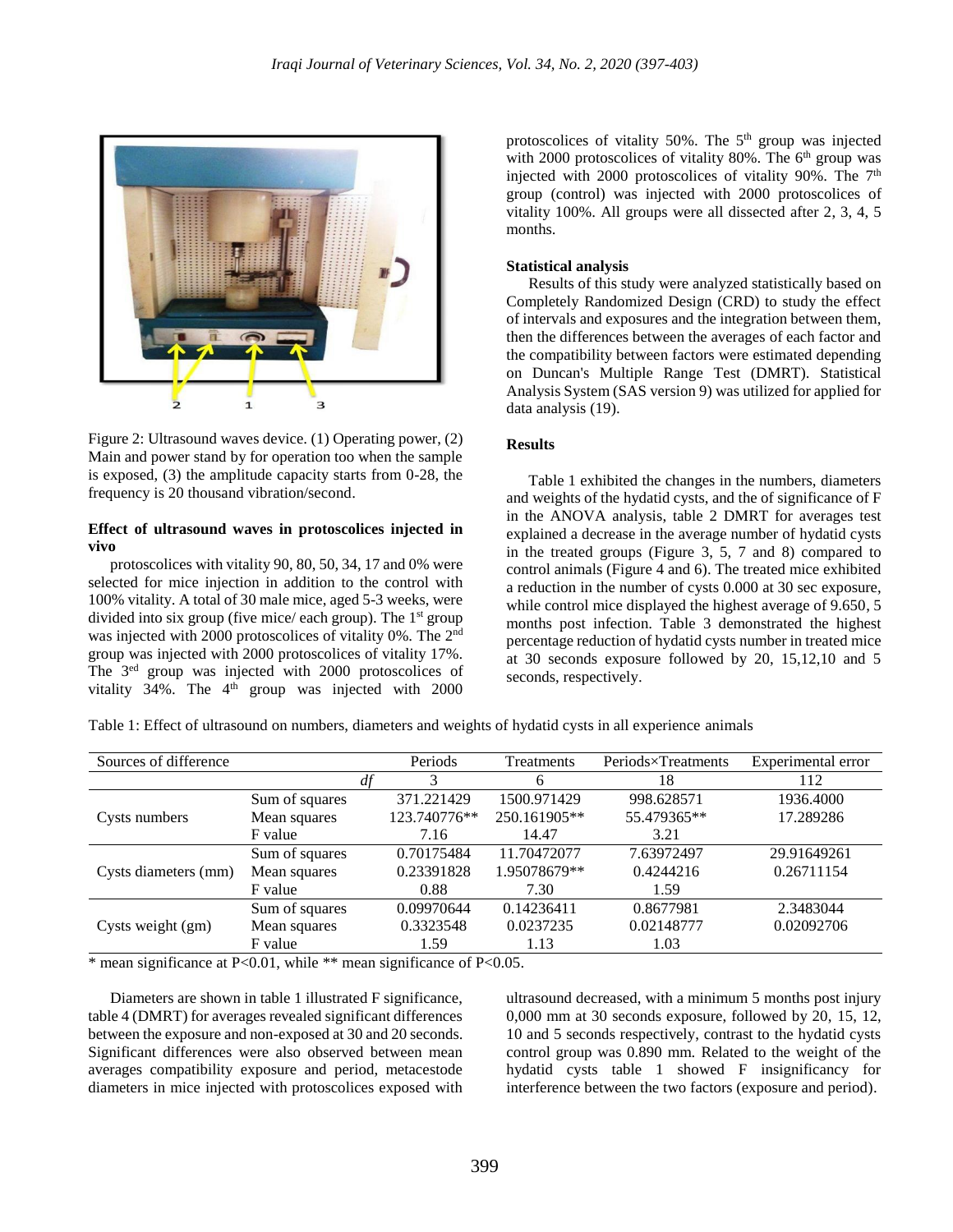

Figure 2: Ultrasound waves device. (1) Operating power, (2) Main and power stand by for operation too when the sample is exposed, (3) the amplitude capacity starts from 0-28, the frequency is 20 thousand vibration/second.

#### **Effect of ultrasound waves in protoscolices injected in vivo**

protoscolices with vitality 90, 80, 50, 34, 17 and 0% were selected for mice injection in addition to the control with 100% vitality. A total of 30 male mice, aged 5-3 weeks, were divided into six group (five mice/ each group). The  $1<sup>st</sup>$  group was injected with 2000 protoscolices of vitality 0%. The 2<sup>nd</sup> group was injected with 2000 protoscolices of vitality 17%. The 3<sup>ed</sup> group was injected with 2000 protoscolices of vitality 34%. The  $4<sup>th</sup>$  group was injected with 2000 protoscolices of vitality 50%. The 5<sup>th</sup> group was injected with 2000 protoscolices of vitality 80%. The  $6<sup>th</sup>$  group was injected with 2000 protoscolices of vitality 90%. The  $7<sup>th</sup>$ group (control) was injected with 2000 protoscolices of vitality 100%. All groups were all dissected after 2, 3, 4, 5 months.

# **Statistical analysis**

Results of this study were analyzed statistically based on Completely Randomized Design (CRD) to study the effect of intervals and exposures and the integration between them, then the differences between the averages of each factor and the compatibility between factors were estimated depending on Duncan's Multiple Range Test (DMRT). Statistical Analysis System (SAS version 9) was utilized for applied for data analysis (19).

### **Results**

Table 1 exhibited the changes in the numbers, diameters and weights of the hydatid cysts, and the of significance of F in the ANOVA analysis, table 2 DMRT for averages test explained a decrease in the average number of hydatid cysts in the treated groups (Figure 3, 5, 7 and 8) compared to control animals (Figure 4 and 6). The treated mice exhibited a reduction in the number of cysts 0.000 at 30 sec exposure, while control mice displayed the highest average of 9.650, 5 months post infection. Table 3 demonstrated the highest percentage reduction of hydatid cysts number in treated mice at 30 seconds exposure followed by 20, 15,12,10 and 5 seconds, respectively.

Table 1: Effect of ultrasound on numbers, diameters and weights of hydatid cysts in all experience animals

| Sources of difference |                |    | Periods      | Treatments   | Periods×Treatments | Experimental error |
|-----------------------|----------------|----|--------------|--------------|--------------------|--------------------|
|                       |                | df | 3            | 6            | 18                 | 112                |
|                       | Sum of squares |    | 371.221429   | 1500.971429  | 998.628571         | 1936.4000          |
| Cysts numbers         | Mean squares   |    | 123.740776** | 250.161905** | 55.479365**        | 17.289286          |
|                       | F value        |    | 7.16         | 14.47        | 3.21               |                    |
| Cysts diameters (mm)  | Sum of squares |    | 0.70175484   | 11.70472077  | 7.63972497         | 29.91649261        |
|                       | Mean squares   |    | 0.23391828   | 1.95078679** | 0.4244216          | 0.26711154         |
|                       | F value        |    | 0.88         | 7.30         | 1.59               |                    |
| Cysts weight (gm)     | Sum of squares |    | 0.09970644   | 0.14236411   | 0.8677981          | 2.3483044          |
|                       | Mean squares   |    | 0.3323548    | 0.0237235    | 0.02148777         | 0.02092706         |
|                       | F value        |    | 1.59         | 1.13         | 1.03               |                    |

\* mean significance at P<0.01, while \*\* mean significance of P<0.05.

Diameters are shown in table 1 illustrated F significance, table 4 (DMRT) for averages revealed significant differences between the exposure and non-exposed at 30 and 20 seconds. Significant differences were also observed between mean averages compatibility exposure and period, metacestode diameters in mice injected with protoscolices exposed with ultrasound decreased, with a minimum 5 months post injury 0,000 mm at 30 seconds exposure, followed by 20, 15, 12, 10 and 5 seconds respectively, contrast to the hydatid cysts control group was 0.890 mm. Related to the weight of the hydatid cysts table 1 showed F insignificancy for interference between the two factors (exposure and period).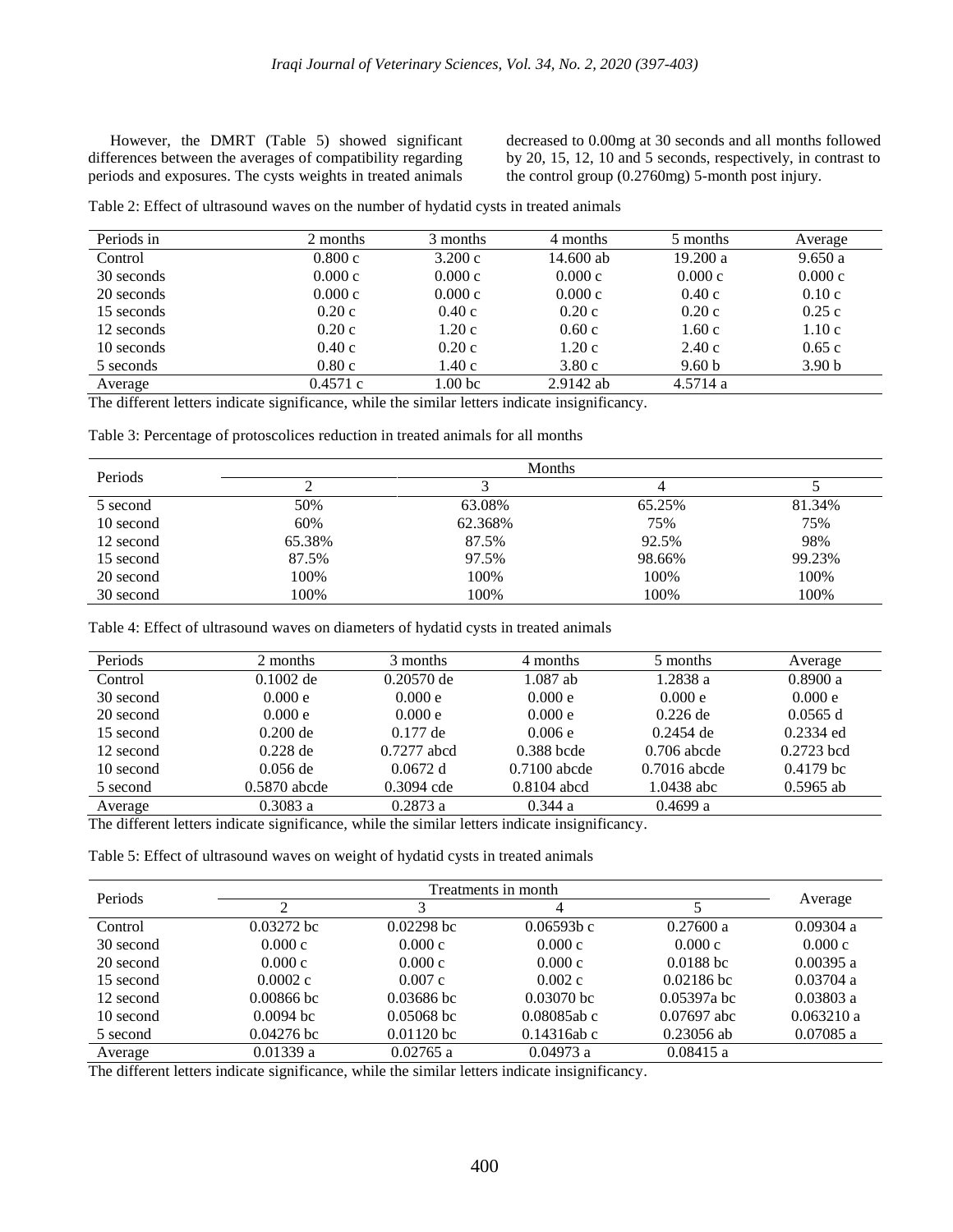However, the DMRT (Table 5) showed significant differences between the averages of compatibility regarding periods and exposures. The cysts weights in treated animals

decreased to 0.00mg at 30 seconds and all months followed by 20, 15, 12, 10 and 5 seconds, respectively, in contrast to the control group (0.2760mg) 5-month post injury.

| Table 2: Effect of ultrasound waves on the number of hydatid cysts in treated animals |  |  |  |  |  |  |  |  |
|---------------------------------------------------------------------------------------|--|--|--|--|--|--|--|--|
|---------------------------------------------------------------------------------------|--|--|--|--|--|--|--|--|

| Periods in | 2 months | 3 months | 4 months    | 5 months          | Average           |
|------------|----------|----------|-------------|-------------------|-------------------|
| Control    | 0.800c   | 3.200c   | 14.600 ab   | 19.200 a          | 9.650a            |
| 30 seconds | 0.000c   | 0.000c   | 0.000c      | 0.000c            | 0.000c            |
| 20 seconds | 0.000c   | 0.000c   | 0.000c      | 0.40c             | 0.10c             |
| 15 seconds | 0.20c    | 0.40c    | 0.20c       | 0.20c             | 0.25c             |
| 12 seconds | 0.20c    | 1.20c    | 0.60c       | 1.60c             | 1.10c             |
| 10 seconds | 0.40c    | 0.20c    | 1.20c       | 2.40c             | 0.65c             |
| 5 seconds  | 0.80c    | 1.40c    | 3.80c       | 9.60 <sub>b</sub> | 3.90 <sub>b</sub> |
| Average    | 0.4571c  | 1.00 bc  | $2.9142$ ab | 4.5714a           |                   |

The different letters indicate significance, while the similar letters indicate insignificancy.

Table 3: Percentage of protoscolices reduction in treated animals for all months

| Periods   |        | Months  |        |        |
|-----------|--------|---------|--------|--------|
|           |        |         |        |        |
| 5 second  | 50%    | 63.08%  | 65.25% | 81.34% |
| 10 second | 60%    | 62.368% | 75%    | 75%    |
| 12 second | 65.38% | 87.5%   | 92.5%  | 98%    |
| 15 second | 87.5%  | 97.5%   | 98.66% | 99.23% |
| 20 second | 100%   | 100%    | 100%   | 100%   |
| 30 second | 100%   | 100%    | 100%   | 100%   |

Table 4: Effect of ultrasound waves on diameters of hydatid cysts in treated animals

| Periods   | 2 months       | 3 months      | 4 months       | 5 months       | Average      |
|-----------|----------------|---------------|----------------|----------------|--------------|
| Control   | $0.1002$ de    | $0.20570$ de  | $1.087$ ab     | 1.2838 a       | 0.8900a      |
| 30 second | 0.000 e        | 0.000 e       | 0.000 e        | 0.000 e        | 0.000 e      |
| 20 second | 0.000 e        | 0.000 e       | 0.000 e        | $0.226$ de     | 0.0565 d     |
| 15 second | $0.200$ de     | $0.177$ de    | 0.006e         | $0.2454$ de    | $0.2334$ ed  |
| 12 second | $0.228$ de     | $0.7277$ abcd | $0.388$ bcde   | $0.706$ abcde  | $0.2723$ bcd |
| 10 second | $0.056$ de     | 0.0672 d      | $0.7100$ abcde | $0.7016$ abcde | $0.4179$ bc  |
| 5 second  | $0.5870$ abcde | $0.3094$ cde  | $0.8104$ abcd  | 1.0438 abc     | $0.5965$ ab  |
| Average   | 0.3083a        | 0.2873a       | 0.344a         | 0.4699 a       |              |

The different letters indicate significance, while the similar letters indicate insignificancy.

Table 5: Effect of ultrasound waves on weight of hydatid cysts in treated animals

| Periods   |              | Treatments in month |                |               |             |  |
|-----------|--------------|---------------------|----------------|---------------|-------------|--|
|           | ↑            |                     |                |               | Average     |  |
| Control   | $0.03272$ bc | $0.02298$ bc        | $0.06593b$ c   | 0.27600 a     | 0.09304 a   |  |
| 30 second | 0.000c       | 0.000c              | 0.000c         | 0.000c        | 0.000c      |  |
| 20 second | 0.000c       | 0.000c              | 0.000c         | $0.0188$ bc   | 0.00395 a   |  |
| 15 second | 0.0002c      | 0.007c              | 0.002c         | $0.02186$ bc  | 0.03704 a   |  |
| 12 second | $0.00866$ bc | $0.03686$ bc        | $0.03070$ bc   | $0.05397a$ bc | 0.03803 a   |  |
| 10 second | $0.0094$ bc  | $0.05068$ bc        | $0.08085$ ab c | $0.07697$ abc | 0.063210 a  |  |
| 5 second  | $0.04276$ bc | $0.01120$ bc        | $0.14316$ ab c | $0.23056$ ab  | $0.07085$ a |  |
| Average   | 0.01339a     | 0.02765 a           | 0.04973a       | 0.08415 a     |             |  |

The different letters indicate significance, while the similar letters indicate insignificancy.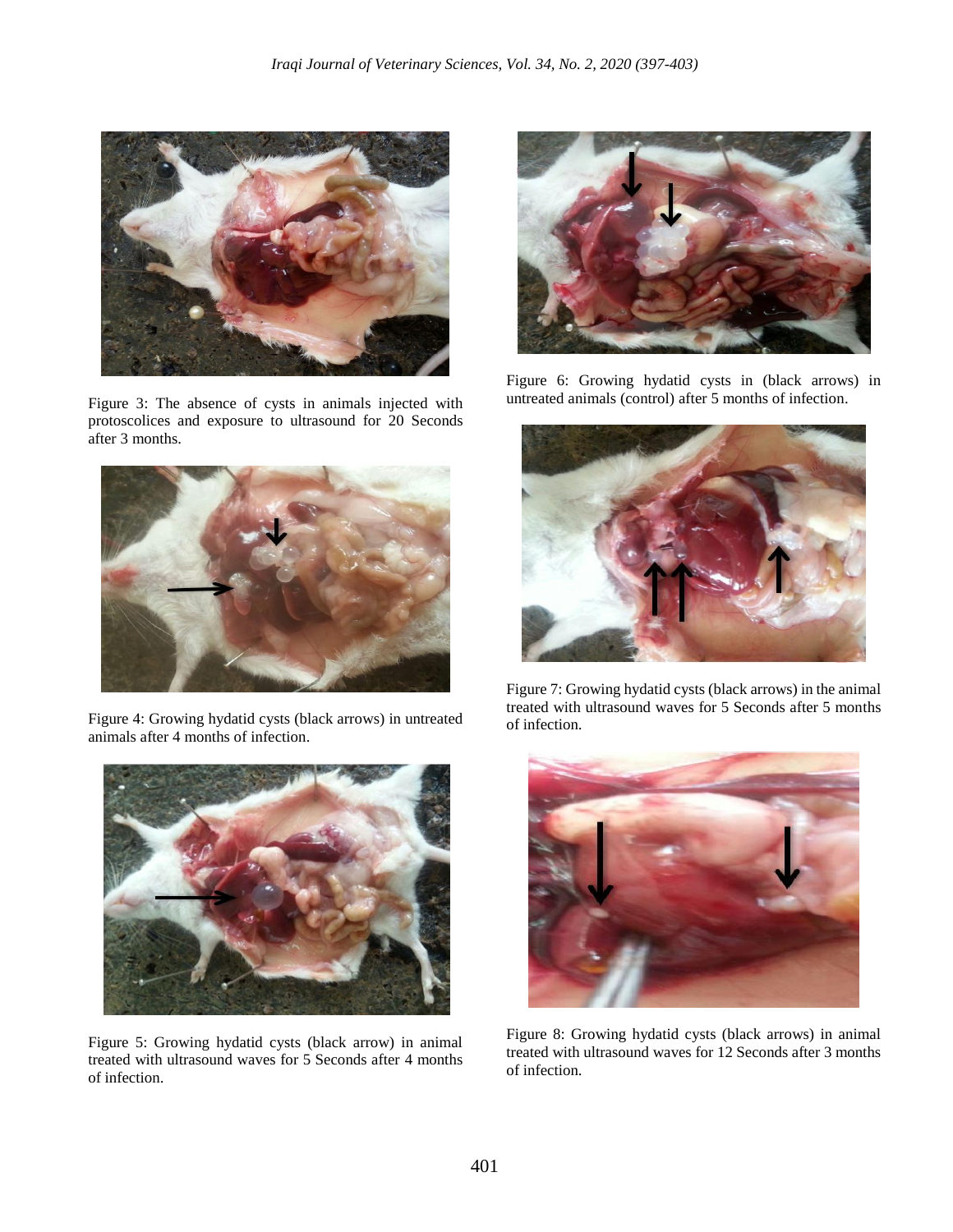

Figure 3: The absence of cysts in animals injected with protoscolices and exposure to ultrasound for 20 Seconds after 3 months.



Figure 4: Growing hydatid cysts (black arrows) in untreated animals after 4 months of infection.



Figure 5: Growing hydatid cysts (black arrow) in animal treated with ultrasound waves for 5 Seconds after 4 months of infection.



Figure 6: Growing hydatid cysts in (black arrows) in untreated animals (control) after 5 months of infection.



Figure 7: Growing hydatid cysts (black arrows) in the animal treated with ultrasound waves for 5 Seconds after 5 months of infection.



Figure 8: Growing hydatid cysts (black arrows) in animal treated with ultrasound waves for 12 Seconds after 3 months of infection.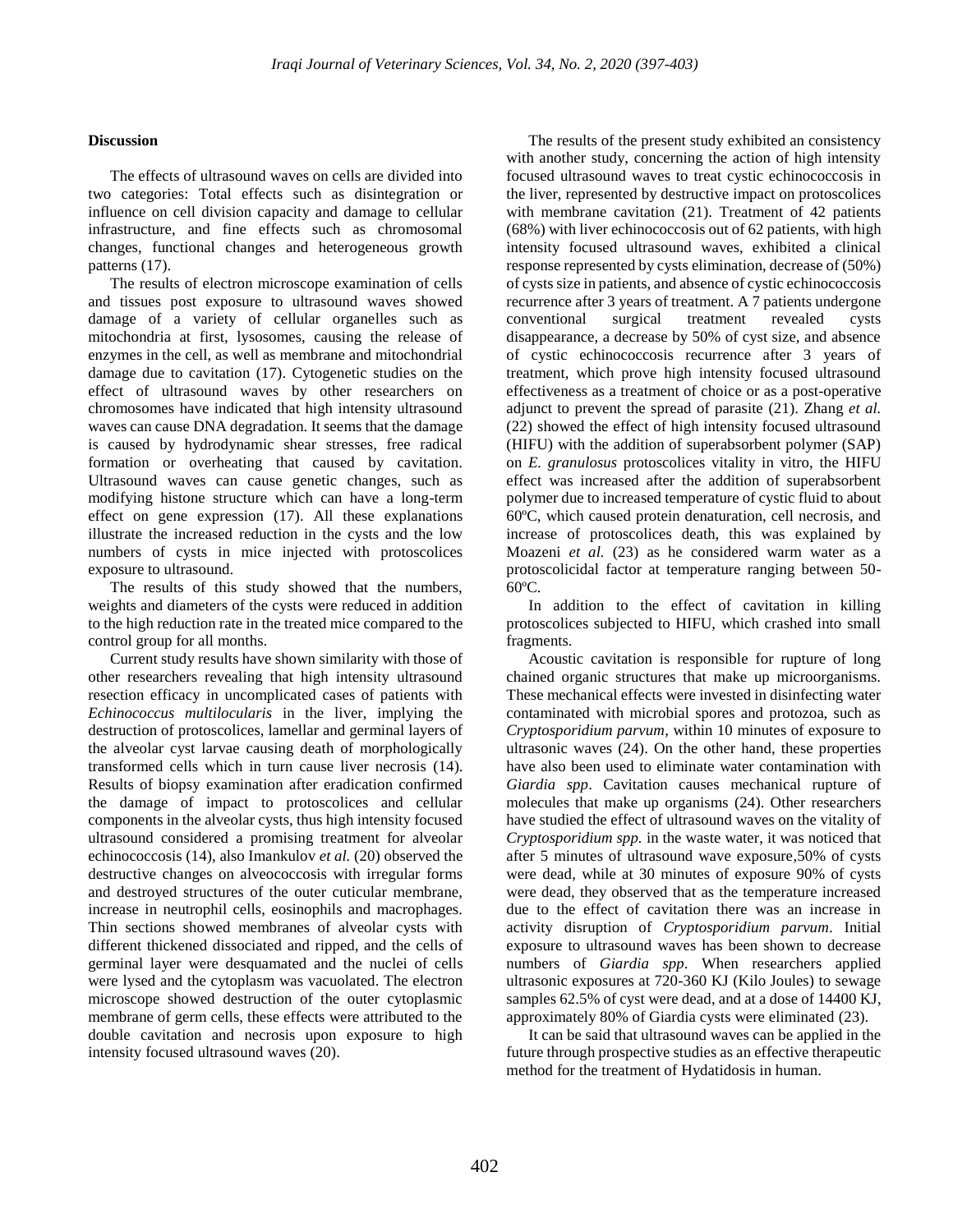# **Discussion**

The effects of ultrasound waves on cells are divided into two categories: Total effects such as disintegration or influence on cell division capacity and damage to cellular infrastructure, and fine effects such as chromosomal changes, functional changes and heterogeneous growth patterns (17).

The results of electron microscope examination of cells and tissues post exposure to ultrasound waves showed damage of a variety of cellular organelles such as mitochondria at first, lysosomes, causing the release of enzymes in the cell, as well as membrane and mitochondrial damage due to cavitation (17). Cytogenetic studies on the effect of ultrasound waves by other researchers on chromosomes have indicated that high intensity ultrasound waves can cause DNA degradation. It seems that the damage is caused by hydrodynamic shear stresses, free radical formation or overheating that caused by cavitation. Ultrasound waves can cause genetic changes, such as modifying histone structure which can have a long-term effect on gene expression (17). All these explanations illustrate the increased reduction in the cysts and the low numbers of cysts in mice injected with protoscolices exposure to ultrasound.

The results of this study showed that the numbers, weights and diameters of the cysts were reduced in addition to the high reduction rate in the treated mice compared to the control group for all months.

Current study results have shown similarity with those of other researchers revealing that high intensity ultrasound resection efficacy in uncomplicated cases of patients with *Echinococcus multilocularis* in the liver, implying the destruction of protoscolices, lamellar and germinal layers of the alveolar cyst larvae causing death of morphologically transformed cells which in turn cause liver necrosis (14). Results of biopsy examination after eradication confirmed the damage of impact to protoscolices and cellular components in the alveolar cysts, thus high intensity focused ultrasound considered a promising treatment for alveolar echinococcosis (14), also Imankulov *et al.* (20) observed the destructive changes on alveococcosis with irregular forms and destroyed structures of the outer cuticular membrane, increase in neutrophil cells, eosinophils and macrophages. Thin sections showed membranes of alveolar cysts with different thickened dissociated and ripped, and the cells of germinal layer were desquamated and the nuclei of cells were lysed and the cytoplasm was vacuolated. The electron microscope showed destruction of the outer cytoplasmic membrane of germ cells, these effects were attributed to the double cavitation and necrosis upon exposure to high intensity focused ultrasound waves (20).

The results of the present study exhibited an consistency with another study, concerning the action of high intensity focused ultrasound waves to treat cystic echinococcosis in the liver, represented by destructive impact on protoscolices with membrane cavitation (21). Treatment of 42 patients (68%) with liver echinococcosis out of 62 patients, with high intensity focused ultrasound waves, exhibited a clinical response represented by cysts elimination, decrease of (50%) of cysts size in patients, and absence of cystic echinococcosis recurrence after 3 years of treatment. A 7 patients undergone conventional surgical treatment revealed cysts disappearance, a decrease by 50% of cyst size, and absence of cystic echinococcosis recurrence after 3 years of treatment, which prove high intensity focused ultrasound effectiveness as a treatment of choice or as a post-operative adjunct to prevent the spread of parasite (21). Zhang *et al.* (22) showed the effect of high intensity focused ultrasound (HIFU) with the addition of superabsorbent polymer (SAP) on *E. granulosus* protoscolices vitality in vitro, the HIFU effect was increased after the addition of superabsorbent polymer due to increased temperature of cystic fluid to about 60ºC, which caused protein denaturation, cell necrosis, and increase of protoscolices death, this was explained by Moazeni *et al.* (23) as he considered warm water as a protoscolicidal factor at temperature ranging between 50- 60ºC.

In addition to the effect of cavitation in killing protoscolices subjected to HIFU, which crashed into small fragments.

Acoustic cavitation is responsible for rupture of long chained organic structures that make up microorganisms. These mechanical effects were invested in disinfecting water contaminated with microbial spores and protozoa, such as *Cryptosporidium parvum*, within 10 minutes of exposure to ultrasonic waves (24). On the other hand, these properties have also been used to eliminate water contamination with *Giardia spp*. Cavitation causes mechanical rupture of molecules that make up organisms (24). Other researchers have studied the effect of ultrasound waves on the vitality of *Cryptosporidium spp.* in the waste water, it was noticed that after 5 minutes of ultrasound wave exposure,50% of cysts were dead, while at 30 minutes of exposure 90% of cysts were dead, they observed that as the temperature increased due to the effect of cavitation there was an increase in activity disruption of *Cryptosporidium parvum*. Initial exposure to ultrasound waves has been shown to decrease numbers of *Giardia spp*. When researchers applied ultrasonic exposures at 720-360 KJ (Kilo Joules) to sewage samples 62.5% of cyst were dead, and at a dose of 14400 KJ, approximately 80% of Giardia cysts were eliminated (23).

It can be said that ultrasound waves can be applied in the future through prospective studies as an effective therapeutic method for the treatment of Hydatidosis in human.